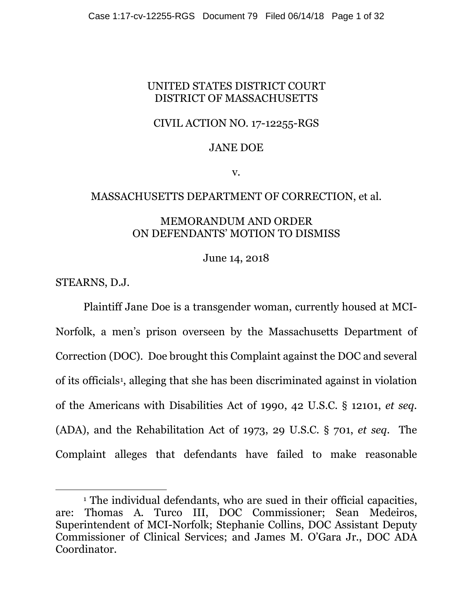## UNITED STATES DISTRICT COURT DISTRICT OF MASSACHUSETTS

## CIVIL ACTION NO. 17-12255-RGS

## JANE DOE

v.

### MASSACHUSETTS DEPARTMENT OF CORRECTION, et al.

### MEMORANDUM AND ORDER ON DEFENDANTS' MOTION TO DISMISS

June 14, 2018

STEARNS, D.J.

 $\overline{\phantom{a}}$ 

Plaintiff Jane Doe is a transgender woman, currently housed at MCI-Norfolk, a men's prison overseen by the Massachusetts Department of Correction (DOC). Doe brought this Complaint against the DOC and several of its officials1, alleging that she has been discriminated against in violation of the Americans with Disabilities Act of 1990, 42 U.S.C. § 12101, *et seq.* (ADA), and the Rehabilitation Act of 1973, 29 U.S.C. § 701, *et seq*. The Complaint alleges that defendants have failed to make reasonable

<sup>1</sup> The individual defendants, who are sued in their official capacities, are: Thomas A. Turco III, DOC Commissioner; Sean Medeiros, Superintendent of MCI-Norfolk; Stephanie Collins, DOC Assistant Deputy Commissioner of Clinical Services; and James M. O'Gara Jr., DOC ADA Coordinator.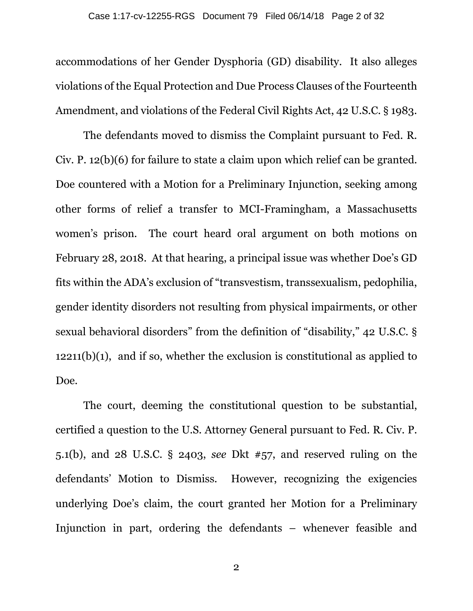accommodations of her Gender Dysphoria (GD) disability. It also alleges violations of the Equal Protection and Due Process Clauses of the Fourteenth Amendment, and violations of the Federal Civil Rights Act, 42 U.S.C. § 1983.

The defendants moved to dismiss the Complaint pursuant to Fed. R. Civ. P. 12(b)(6) for failure to state a claim upon which relief can be granted. Doe countered with a Motion for a Preliminary Injunction, seeking among other forms of relief a transfer to MCI-Framingham, a Massachusetts women's prison. The court heard oral argument on both motions on February 28, 2018. At that hearing, a principal issue was whether Doe's GD fits within the ADA's exclusion of "transvestism, transsexualism, pedophilia, gender identity disorders not resulting from physical impairments, or other sexual behavioral disorders" from the definition of "disability," 42 U.S.C. §  $12211(b)(1)$ , and if so, whether the exclusion is constitutional as applied to Doe.

The court, deeming the constitutional question to be substantial, certified a question to the U.S. Attorney General pursuant to Fed. R. Civ. P. 5.1(b), and 28 U.S.C. § 2403, *see* Dkt #57, and reserved ruling on the defendants' Motion to Dismiss. However, recognizing the exigencies underlying Doe's claim, the court granted her Motion for a Preliminary Injunction in part, ordering the defendants – whenever feasible and

2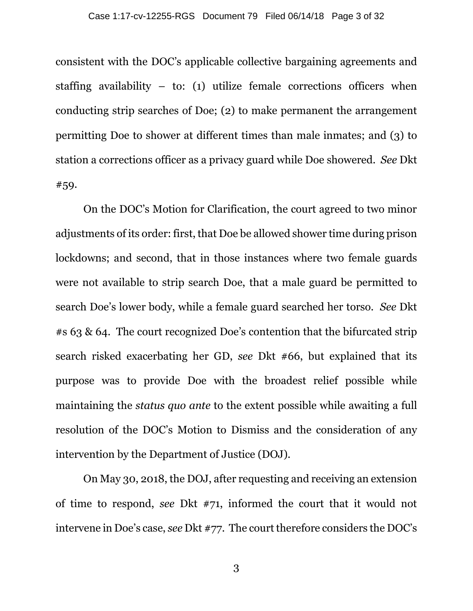consistent with the DOC's applicable collective bargaining agreements and staffing availability – to: (1) utilize female corrections officers when conducting strip searches of Doe; (2) to make permanent the arrangement permitting Doe to shower at different times than male inmates; and (3) to station a corrections officer as a privacy guard while Doe showered. *See* Dkt #59.

On the DOC's Motion for Clarification, the court agreed to two minor adjustments of its order: first, that Doe be allowed shower time during prison lockdowns; and second, that in those instances where two female guards were not available to strip search Doe, that a male guard be permitted to search Doe's lower body, while a female guard searched her torso. *See* Dkt #s 63 & 64. The court recognized Doe's contention that the bifurcated strip search risked exacerbating her GD, *see* Dkt #66, but explained that its purpose was to provide Doe with the broadest relief possible while maintaining the *status quo ante* to the extent possible while awaiting a full resolution of the DOC's Motion to Dismiss and the consideration of any intervention by the Department of Justice (DOJ).

On May 30, 2018, the DOJ, after requesting and receiving an extension of time to respond, *see* Dkt #71, informed the court that it would not intervene in Doe's case, *see* Dkt #77. The court therefore considers the DOC's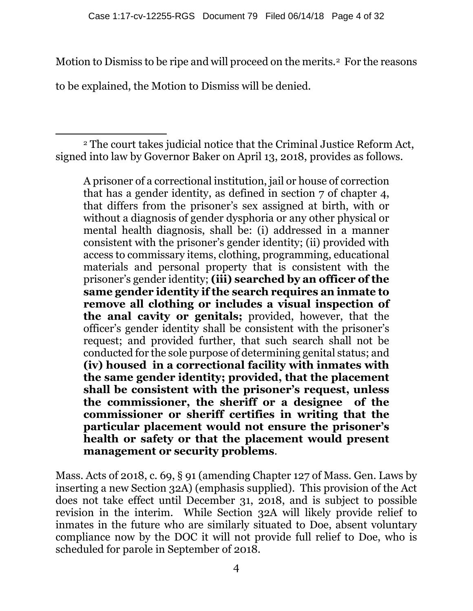Motion to Dismiss to be ripe and will proceed on the merits.2 For the reasons

to be explained, the Motion to Dismiss will be denied.

 $\overline{\phantom{a}}$ <sup>2</sup> The court takes judicial notice that the Criminal Justice Reform Act, signed into law by Governor Baker on April 13, 2018, provides as follows.

A prisoner of a correctional institution, jail or house of correction that has a gender identity, as defined in section 7 of chapter 4, that differs from the prisoner's sex assigned at birth, with or without a diagnosis of gender dysphoria or any other physical or mental health diagnosis, shall be: (i) addressed in a manner consistent with the prisoner's gender identity; (ii) provided with access to commissary items, clothing, programming, educational materials and personal property that is consistent with the prisoner's gender identity; **(iii) searched by an officer of the same gender identity if the search requires an inmate to remove all clothing or includes a visual inspection of the anal cavity or genitals;** provided, however, that the officer's gender identity shall be consistent with the prisoner's request; and provided further, that such search shall not be conducted for the sole purpose of determining genital status; and **(iv) housed in a correctional facility with inmates with the same gender identity; provided, that the placement shall be consistent with the prisoner's request, unless the commissioner, the sheriff or a designee of the commissioner or sheriff certifies in writing that the particular placement would not ensure the prisoner's health or safety or that the placement would present management or security problems**.

Mass. Acts of 2018, c. 69, § 91 (amending Chapter 127 of Mass. Gen. Laws by inserting a new Section 32A) (emphasis supplied). This provision of the Act does not take effect until December 31, 2018, and is subject to possible revision in the interim. While Section 32A will likely provide relief to inmates in the future who are similarly situated to Doe, absent voluntary compliance now by the DOC it will not provide full relief to Doe, who is scheduled for parole in September of 2018.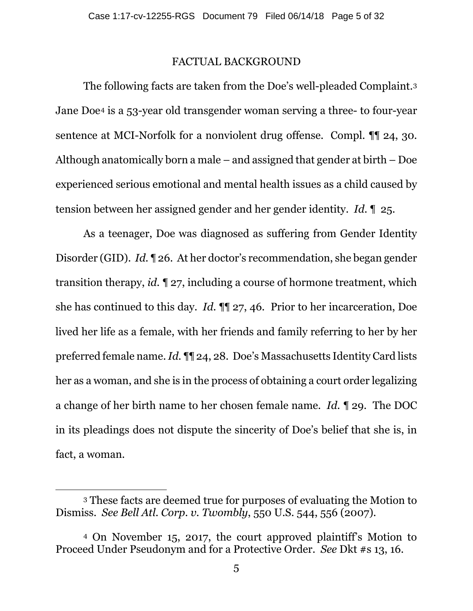#### FACTUAL BACKGROUND

The following facts are taken from the Doe's well-pleaded Complaint.3 Jane Doe4 is a 53-year old transgender woman serving a three- to four-year sentence at MCI-Norfolk for a nonviolent drug offense. Compl.  $\P$  24, 30. Although anatomically born a male – and assigned that gender at birth – Doe experienced serious emotional and mental health issues as a child caused by tension between her assigned gender and her gender identity. *Id.* ¶ 25.

As a teenager, Doe was diagnosed as suffering from Gender Identity Disorder (GID). *Id.* ¶ 26. At her doctor's recommendation, she began gender transition therapy, *id.* ¶ 27, including a course of hormone treatment, which she has continued to this day. *Id.* ¶¶ 27, 46.Prior to her incarceration, Doe lived her life as a female, with her friends and family referring to her by her preferred female name. *Id.* ¶¶ 24, 28. Doe's Massachusetts Identity Card lists her as a woman, and she is in the process of obtaining a court order legalizing a change of her birth name to her chosen female name. *Id.* ¶ 29. The DOC in its pleadings does not dispute the sincerity of Doe's belief that she is, in fact, a woman.

 $\overline{\phantom{a}}$ 

<sup>3</sup> These facts are deemed true for purposes of evaluating the Motion to Dismiss. *See Bell Atl. Corp. v. Twombly*, 550 U.S. 544, 556 (2007).

<sup>4</sup> On November 15, 2017, the court approved plaintiff's Motion to Proceed Under Pseudonym and for a Protective Order. *See* Dkt #s 13, 16.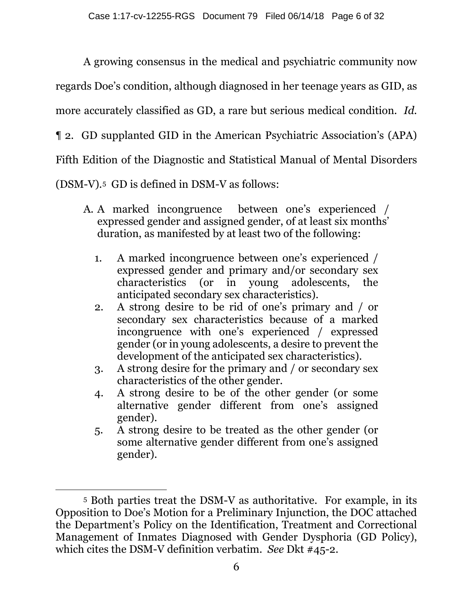A growing consensus in the medical and psychiatric community now regards Doe's condition, although diagnosed in her teenage years as GID, as more accurately classified as GD, a rare but serious medical condition. *Id.*  ¶ 2. GD supplanted GID in the American Psychiatric Association's (APA) Fifth Edition of the Diagnostic and Statistical Manual of Mental Disorders (DSM-V).5 GD is defined in DSM-V as follows:

- A. A marked incongruence between one's experienced / expressed gender and assigned gender, of at least six months' duration, as manifested by at least two of the following:
	- 1. A marked incongruence between one's experienced / expressed gender and primary and/or secondary sex characteristics (or in young adolescents, the anticipated secondary sex characteristics).
	- 2. A strong desire to be rid of one's primary and / or secondary sex characteristics because of a marked incongruence with one's experienced / expressed gender (or in young adolescents, a desire to prevent the development of the anticipated sex characteristics).
	- 3. A strong desire for the primary and / or secondary sex characteristics of the other gender.
	- 4. A strong desire to be of the other gender (or some alternative gender different from one's assigned gender).
	- 5. A strong desire to be treated as the other gender (or some alternative gender different from one's assigned gender).

 $\overline{\phantom{a}}$ 

<sup>5</sup> Both parties treat the DSM-V as authoritative. For example, in its Opposition to Doe's Motion for a Preliminary Injunction, the DOC attached the Department's Policy on the Identification, Treatment and Correctional Management of Inmates Diagnosed with Gender Dysphoria (GD Policy), which cites the DSM-V definition verbatim. *See* Dkt #45-2.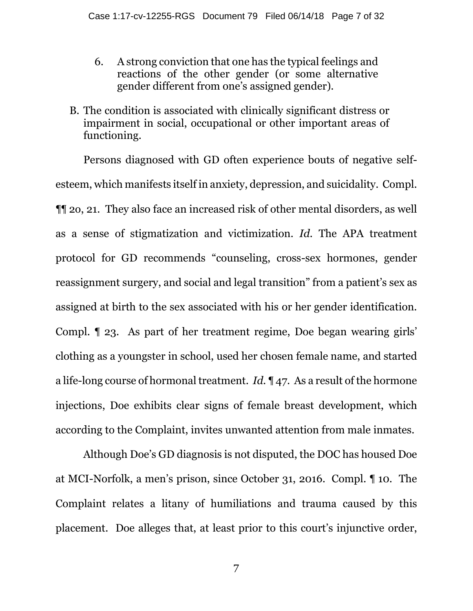- 6. A strong conviction that one has the typical feelings and reactions of the other gender (or some alternative gender different from one's assigned gender).
- B. The condition is associated with clinically significant distress or impairment in social, occupational or other important areas of functioning.

Persons diagnosed with GD often experience bouts of negative selfesteem, which manifests itself in anxiety, depression, and suicidality. Compl. ¶¶ 2o, 21. They also face an increased risk of other mental disorders, as well as a sense of stigmatization and victimization. *Id.* The APA treatment protocol for GD recommends "counseling, cross-sex hormones, gender reassignment surgery, and social and legal transition" from a patient's sex as assigned at birth to the sex associated with his or her gender identification. Compl. ¶ 23. As part of her treatment regime, Doe began wearing girls' clothing as a youngster in school, used her chosen female name, and started a life-long course of hormonal treatment. *Id.* ¶ 47. As a result of the hormone injections, Doe exhibits clear signs of female breast development, which according to the Complaint, invites unwanted attention from male inmates.

Although Doe's GD diagnosis is not disputed, the DOC has housed Doe at MCI-Norfolk, a men's prison, since October 31, 2016. Compl. ¶ 10. The Complaint relates a litany of humiliations and trauma caused by this placement. Doe alleges that, at least prior to this court's injunctive order,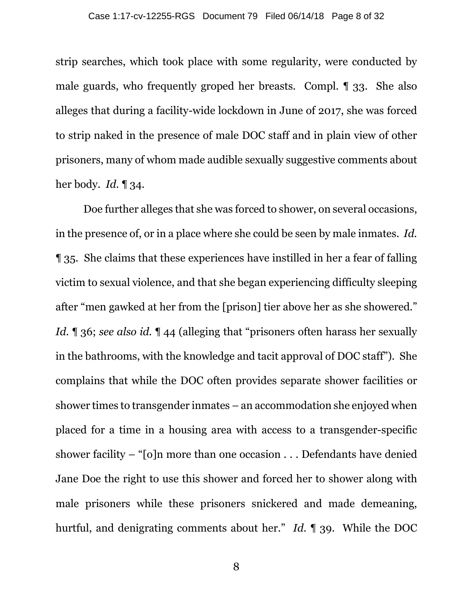strip searches, which took place with some regularity, were conducted by male guards, who frequently groped her breasts. Compl. ¶ 33. She also alleges that during a facility-wide lockdown in June of 2017, she was forced to strip naked in the presence of male DOC staff and in plain view of other prisoners, many of whom made audible sexually suggestive comments about her body. *Id.* ¶ 34.

Doe further alleges that she was forced to shower, on several occasions, in the presence of, or in a place where she could be seen by male inmates. *Id.*  ¶ 35. She claims that these experiences have instilled in her a fear of falling victim to sexual violence, and that she began experiencing difficulty sleeping after "men gawked at her from the [prison] tier above her as she showered." *Id.* ¶ 36; *see also id.* ¶ 44 (alleging that "prisoners often harass her sexually in the bathrooms, with the knowledge and tacit approval of DOC staff"). She complains that while the DOC often provides separate shower facilities or shower times to transgender inmates – an accommodation she enjoyed when placed for a time in a housing area with access to a transgender-specific shower facility – " $[0]$ n more than one occasion . . . Defendants have denied Jane Doe the right to use this shower and forced her to shower along with male prisoners while these prisoners snickered and made demeaning, hurtful, and denigrating comments about her." *Id.* ¶ 39. While the DOC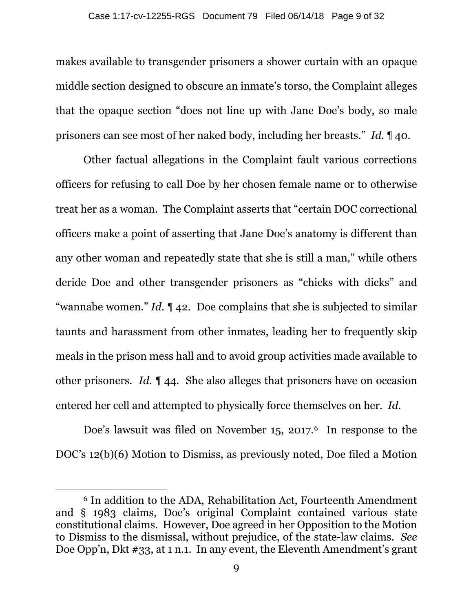makes available to transgender prisoners a shower curtain with an opaque middle section designed to obscure an inmate's torso, the Complaint alleges that the opaque section "does not line up with Jane Doe's body, so male prisoners can see most of her naked body, including her breasts." *Id.* ¶ 40.

Other factual allegations in the Complaint fault various corrections officers for refusing to call Doe by her chosen female name or to otherwise treat her as a woman. The Complaint asserts that "certain DOC correctional officers make a point of asserting that Jane Doe's anatomy is different than any other woman and repeatedly state that she is still a man," while others deride Doe and other transgender prisoners as "chicks with dicks" and "wannabe women." *Id.* ¶ 42. Doe complains that she is subjected to similar taunts and harassment from other inmates, leading her to frequently skip meals in the prison mess hall and to avoid group activities made available to other prisoners. *Id.* ¶ 44. She also alleges that prisoners have on occasion entered her cell and attempted to physically force themselves on her. *Id.*

Doe's lawsuit was filed on November  $15$ , 2017.<sup>6</sup> In response to the DOC's 12(b)(6) Motion to Dismiss, as previously noted, Doe filed a Motion

 $\overline{\phantom{a}}$ 

<sup>6</sup> In addition to the ADA, Rehabilitation Act, Fourteenth Amendment and § 1983 claims, Doe's original Complaint contained various state constitutional claims. However, Doe agreed in her Opposition to the Motion to Dismiss to the dismissal, without prejudice, of the state-law claims. *See*  Doe Opp'n, Dkt #33, at 1 n.1. In any event, the Eleventh Amendment's grant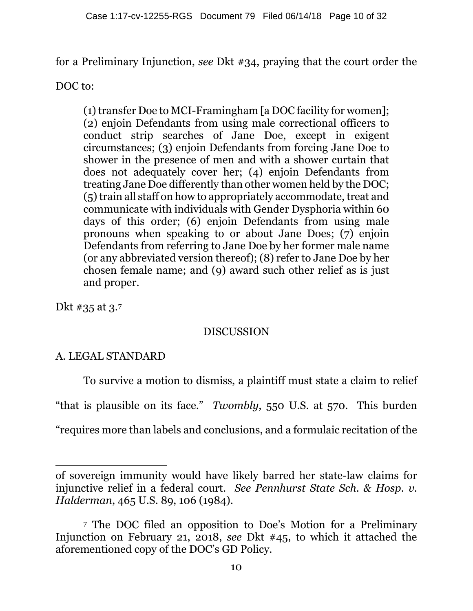for a Preliminary Injunction, *see* Dkt #34, praying that the court order the

DOC to:

(1) transfer Doe to MCI-Framingham [a DOC facility for women]; (2) enjoin Defendants from using male correctional officers to conduct strip searches of Jane Doe, except in exigent circumstances; (3) enjoin Defendants from forcing Jane Doe to shower in the presence of men and with a shower curtain that does not adequately cover her; (4) enjoin Defendants from treating Jane Doe differently than other women held by the DOC; (5) train all staff on how to appropriately accommodate, treat and communicate with individuals with Gender Dysphoria within 60 days of this order; (6) enjoin Defendants from using male pronouns when speaking to or about Jane Does; (7) enjoin Defendants from referring to Jane Doe by her former male name (or any abbreviated version thereof); (8) refer to Jane Doe by her chosen female name; and (9) award such other relief as is just and proper.

Dkt #35 at 3.7

 $\overline{a}$ 

# DISCUSSION

# A. LEGAL STANDARD

To survive a motion to dismiss, a plaintiff must state a claim to relief "that is plausible on its face." *Twombly*, 550 U.S. at 570. This burden "requires more than labels and conclusions, and a formulaic recitation of the

of sovereign immunity would have likely barred her state-law claims for injunctive relief in a federal court. *See Pennhurst State Sch. & Hosp. v. Halderman*, 465 U.S. 89, 106 (1984).

<sup>7</sup> The DOC filed an opposition to Doe's Motion for a Preliminary Injunction on February 21, 2018, *see* Dkt #45, to which it attached the aforementioned copy of the DOC's GD Policy.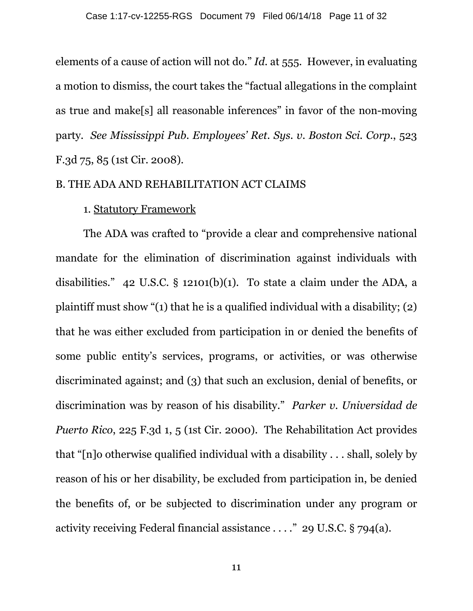elements of a cause of action will not do." *Id.* at 555. However, in evaluating a motion to dismiss, the court takes the "factual allegations in the complaint as true and make[s] all reasonable inferences" in favor of the non-moving party. *See Mississippi Pub. Employees' Ret. Sys. v. Boston Sci. Corp.*, 523 F.3d 75, 85 (1st Cir. 2008).

#### B. THE ADA AND REHABILITATION ACT CLAIMS

### 1. Statutory Framework

The ADA was crafted to "provide a clear and comprehensive national mandate for the elimination of discrimination against individuals with disabilities." 42 U.S.C. § 12101(b)(1). To state a claim under the ADA, a plaintiff must show "(1) that he is a qualified individual with a disability; (2) that he was either excluded from participation in or denied the benefits of some public entity's services, programs, or activities, or was otherwise discriminated against; and (3) that such an exclusion, denial of benefits, or discrimination was by reason of his disability." *Parker v. Universidad de Puerto Rico*, 225 F.3d 1, 5 (1st Cir. 2000). The Rehabilitation Act provides that "[n]o otherwise qualified individual with a disability . . . shall, solely by reason of his or her disability, be excluded from participation in, be denied the benefits of, or be subjected to discrimination under any program or activity receiving Federal financial assistance . . . ." 29 U.S.C. § 794(a).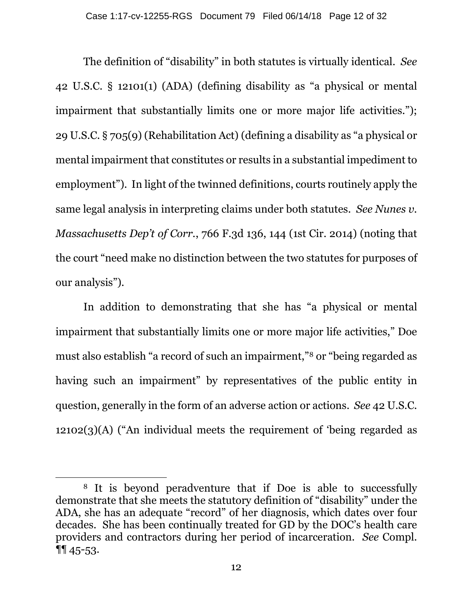The definition of "disability" in both statutes is virtually identical. *See* 42 U.S.C. § 12101(1) (ADA) (defining disability as "a physical or mental impairment that substantially limits one or more major life activities."); 29 U.S.C. § 705(9) (Rehabilitation Act) (defining a disability as "a physical or mental impairment that constitutes or results in a substantial impediment to employment"). In light of the twinned definitions, courts routinely apply the same legal analysis in interpreting claims under both statutes. *See Nunes v. Massachusetts Dep't of Corr.*, 766 F.3d 136, 144 (1st Cir. 2014) (noting that the court "need make no distinction between the two statutes for purposes of our analysis").

In addition to demonstrating that she has "a physical or mental impairment that substantially limits one or more major life activities," Doe must also establish "a record of such an impairment,"8 or "being regarded as having such an impairment" by representatives of the public entity in question, generally in the form of an adverse action or actions. *See* 42 U.S.C. 12102(3)(A) ("An individual meets the requirement of 'being regarded as

 $\overline{\phantom{a}}$ 

<sup>8</sup> It is beyond peradventure that if Doe is able to successfully demonstrate that she meets the statutory definition of "disability" under the ADA, she has an adequate "record" of her diagnosis, which dates over four decades. She has been continually treated for GD by the DOC's health care providers and contractors during her period of incarceration. *See* Compl. ¶¶ 45-53.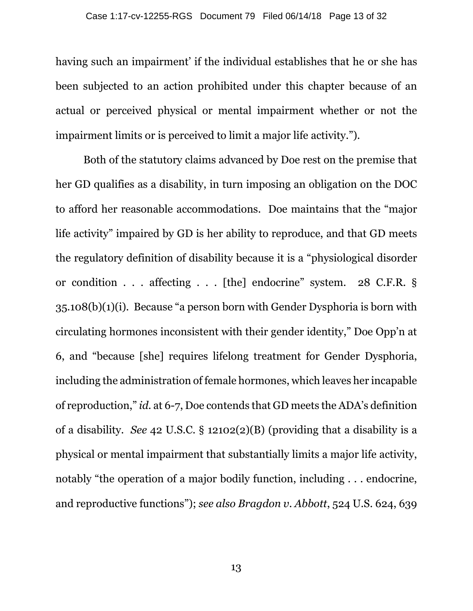having such an impairment' if the individual establishes that he or she has been subjected to an action prohibited under this chapter because of an actual or perceived physical or mental impairment whether or not the impairment limits or is perceived to limit a major life activity.").

Both of the statutory claims advanced by Doe rest on the premise that her GD qualifies as a disability, in turn imposing an obligation on the DOC to afford her reasonable accommodations. Doe maintains that the "major life activity" impaired by GD is her ability to reproduce, and that GD meets the regulatory definition of disability because it is a "physiological disorder or condition . . . affecting . . . [the] endocrine" system. 28 C.F.R. § 35.108(b)(1)(i). Because "a person born with Gender Dysphoria is born with circulating hormones inconsistent with their gender identity," Doe Opp'n at 6, and "because [she] requires lifelong treatment for Gender Dysphoria, including the administration of female hormones, which leaves her incapable of reproduction," *id.* at 6-7, Doe contends that GD meets the ADA's definition of a disability. *See* 42 U.S.C. § 12102(2)(B) (providing that a disability is a physical or mental impairment that substantially limits a major life activity, notably "the operation of a major bodily function, including . . . endocrine, and reproductive functions"); *see also Bragdon v. Abbott*, 524 U.S. 624, 639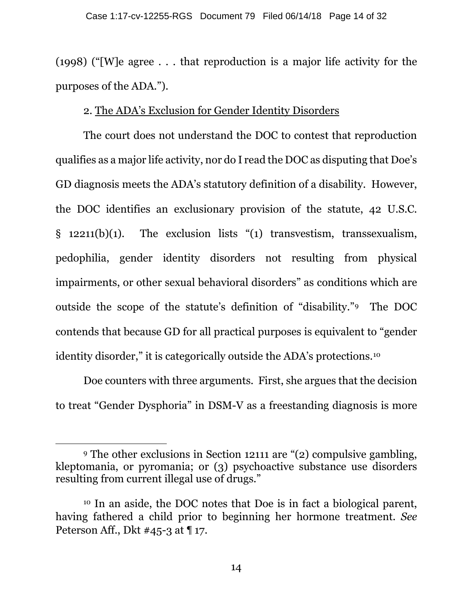(1998) ("[W]e agree . . . that reproduction is a major life activity for the purposes of the ADA.").

## 2. The ADA's Exclusion for Gender Identity Disorders

The court does not understand the DOC to contest that reproduction qualifies as a major life activity, nor do I read the DOC as disputing that Doe's GD diagnosis meets the ADA's statutory definition of a disability. However, the DOC identifies an exclusionary provision of the statute, 42 U.S.C. § 12211(b)(1). The exclusion lists "(1) transvestism, transsexualism, pedophilia, gender identity disorders not resulting from physical impairments, or other sexual behavioral disorders" as conditions which are outside the scope of the statute's definition of "disability."9 The DOC contends that because GD for all practical purposes is equivalent to "gender identity disorder," it is categorically outside the ADA's protections.10

Doe counters with three arguments. First, she argues that the decision to treat "Gender Dysphoria" in DSM-V as a freestanding diagnosis is more

 $\overline{a}$ 

<sup>9</sup> The other exclusions in Section 12111 are "(2) compulsive gambling, kleptomania, or pyromania; or (3) psychoactive substance use disorders resulting from current illegal use of drugs."

<sup>10</sup> In an aside, the DOC notes that Doe is in fact a biological parent, having fathered a child prior to beginning her hormone treatment. *See*  Peterson Aff., Dkt #45-3 at ¶ 17.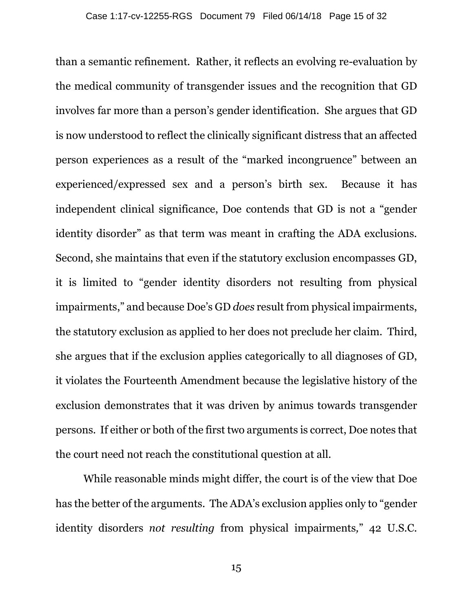than a semantic refinement. Rather, it reflects an evolving re-evaluation by the medical community of transgender issues and the recognition that GD involves far more than a person's gender identification. She argues that GD is now understood to reflect the clinically significant distress that an affected person experiences as a result of the "marked incongruence" between an experienced/expressed sex and a person's birth sex. Because it has independent clinical significance, Doe contends that GD is not a "gender identity disorder" as that term was meant in crafting the ADA exclusions. Second, she maintains that even if the statutory exclusion encompasses GD, it is limited to "gender identity disorders not resulting from physical impairments," and because Doe's GD *does* result from physical impairments, the statutory exclusion as applied to her does not preclude her claim. Third, she argues that if the exclusion applies categorically to all diagnoses of GD, it violates the Fourteenth Amendment because the legislative history of the exclusion demonstrates that it was driven by animus towards transgender persons. If either or both of the first two arguments is correct, Doe notes that the court need not reach the constitutional question at all.

While reasonable minds might differ, the court is of the view that Doe has the better of the arguments. The ADA's exclusion applies only to "gender identity disorders *not resulting* from physical impairments*,*" 42 U.S.C.

15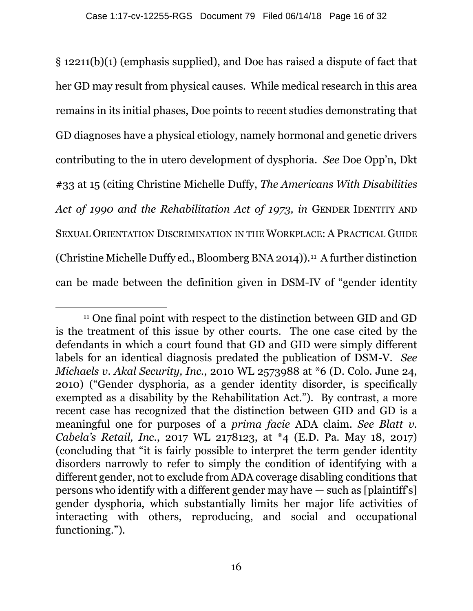§ 12211(b)(1) (emphasis supplied), and Doe has raised a dispute of fact that her GD may result from physical causes. While medical research in this area remains in its initial phases, Doe points to recent studies demonstrating that GD diagnoses have a physical etiology, namely hormonal and genetic drivers contributing to the in utero development of dysphoria. *See* Doe Opp'n, Dkt #33 at 15 (citing Christine Michelle Duffy, *The Americans With Disabilities Act of 1990 and the Rehabilitation Act of 1973, in* GENDER IDENTITY AND SEXUAL ORIENTATION DISCRIMINATION IN THE WORKPLACE: A PRACTICAL GUIDE (Christine Michelle Duffy ed., Bloomberg BNA 2014)).<sup>11</sup> A further distinction can be made between the definition given in DSM-IV of "gender identity

 $\overline{a}$ <sup>11</sup> One final point with respect to the distinction between GID and GD is the treatment of this issue by other courts. The one case cited by the defendants in which a court found that GD and GID were simply different labels for an identical diagnosis predated the publication of DSM-V. *See Michaels v. Akal Security, Inc.*, 2010 WL 2573988 at \*6 (D. Colo. June 24, 2010) ("Gender dysphoria, as a gender identity disorder, is specifically exempted as a disability by the Rehabilitation Act."). By contrast, a more recent case has recognized that the distinction between GID and GD is a meaningful one for purposes of a *prima facie* ADA claim. *See Blatt v. Cabela's Retail, Inc.*, 2017 WL 2178123, at \*4 (E.D. Pa. May 18, 2017) (concluding that "it is fairly possible to interpret the term gender identity disorders narrowly to refer to simply the condition of identifying with a different gender, not to exclude from ADA coverage disabling conditions that persons who identify with a different gender may have — such as [plaintiff's] gender dysphoria, which substantially limits her major life activities of interacting with others, reproducing, and social and occupational functioning.").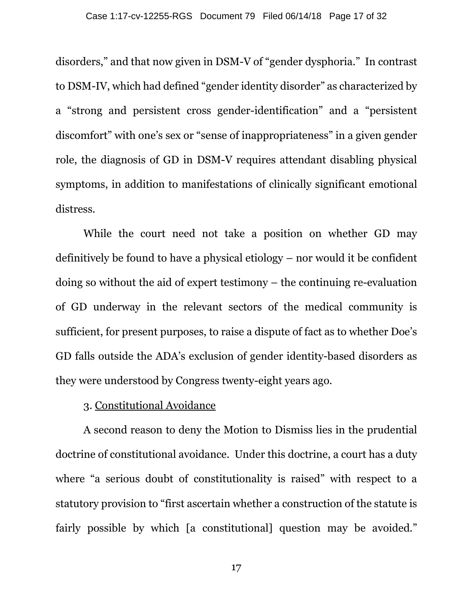disorders," and that now given in DSM-V of "gender dysphoria." In contrast to DSM-IV, which had defined "gender identity disorder" as characterized by a "strong and persistent cross gender-identification" and a "persistent discomfort" with one's sex or "sense of inappropriateness" in a given gender role, the diagnosis of GD in DSM-V requires attendant disabling physical symptoms, in addition to manifestations of clinically significant emotional distress.

While the court need not take a position on whether GD may definitively be found to have a physical etiology – nor would it be confident doing so without the aid of expert testimony – the continuing re-evaluation of GD underway in the relevant sectors of the medical community is sufficient, for present purposes, to raise a dispute of fact as to whether Doe's GD falls outside the ADA's exclusion of gender identity-based disorders as they were understood by Congress twenty-eight years ago.

### 3. Constitutional Avoidance

A second reason to deny the Motion to Dismiss lies in the prudential doctrine of constitutional avoidance. Under this doctrine, a court has a duty where "a serious doubt of constitutionality is raised" with respect to a statutory provision to "first ascertain whether a construction of the statute is fairly possible by which [a constitutional] question may be avoided."

17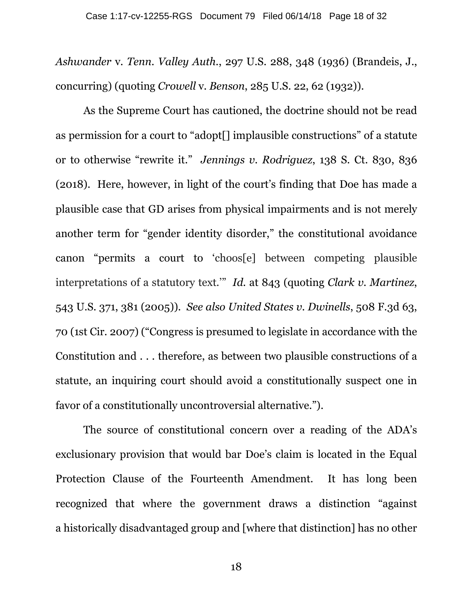*Ashwander* v. *Tenn. Valley Auth.*, 297 U.S. 288, 348 (1936) (Brandeis, J., concurring) (quoting *Crowell* v. *Benson*, 285 U.S. 22, 62 (1932)).

As the Supreme Court has cautioned, the doctrine should not be read as permission for a court to "adopt[] implausible constructions" of a statute or to otherwise "rewrite it." *Jennings v. Rodriguez*, 138 S. Ct. 830, 836 (2018). Here, however, in light of the court's finding that Doe has made a plausible case that GD arises from physical impairments and is not merely another term for "gender identity disorder," the constitutional avoidance canon "permits a court to 'choos[e] between competing plausible interpretations of a statutory text.'" *Id.* at 843 (quoting *Clark v. Martinez*, 543 U.S. 371, 381 (2005)). *See also United States v. Dwinells*, 508 F.3d 63, 70 (1st Cir. 2007) ("Congress is presumed to legislate in accordance with the Constitution and . . . therefore, as between two plausible constructions of a statute, an inquiring court should avoid a constitutionally suspect one in favor of a constitutionally uncontroversial alternative.").

The source of constitutional concern over a reading of the ADA's exclusionary provision that would bar Doe's claim is located in the Equal Protection Clause of the Fourteenth Amendment. It has long been recognized that where the government draws a distinction "against a historically disadvantaged group and [where that distinction] has no other

18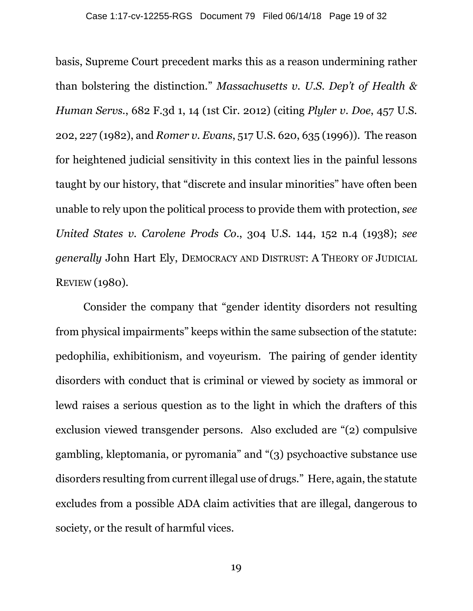basis, Supreme Court precedent marks this as a reason undermining rather than bolstering the distinction." *Massachusetts v. U.S. Dep't of Health & Human Servs.*, 682 F.3d 1, 14 (1st Cir. 2012) (citing *Plyler v. Doe*, 457 U.S. 202, 227 (1982), and *Romer v. Evans*, 517 U.S. 620, 635 (1996)). The reason for heightened judicial sensitivity in this context lies in the painful lessons taught by our history, that "discrete and insular minorities" have often been unable to rely upon the political process to provide them with protection, *see United States v. Carolene Prods Co*., 304 U.S. 144, 152 n.4 (1938); *see generally* John Hart Ely, DEMOCRACY AND DISTRUST: A THEORY OF JUDICIAL REVIEW (1980).

Consider the company that "gender identity disorders not resulting from physical impairments" keeps within the same subsection of the statute: pedophilia, exhibitionism, and voyeurism. The pairing of gender identity disorders with conduct that is criminal or viewed by society as immoral or lewd raises a serious question as to the light in which the drafters of this exclusion viewed transgender persons. Also excluded are "(2) compulsive gambling, kleptomania, or pyromania" and "(3) psychoactive substance use disorders resulting from current illegal use of drugs." Here, again, the statute excludes from a possible ADA claim activities that are illegal, dangerous to society, or the result of harmful vices.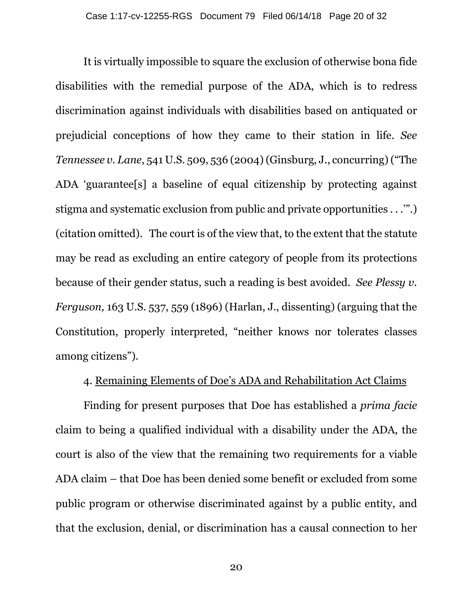It is virtually impossible to square the exclusion of otherwise bona fide disabilities with the remedial purpose of the ADA, which is to redress discrimination against individuals with disabilities based on antiquated or prejudicial conceptions of how they came to their station in life. *See Tennessee v. Lane*, 541 U.S. 509, 536 (2004) (Ginsburg, J., concurring) ("The ADA 'guarantee[s] a baseline of equal citizenship by protecting against stigma and systematic exclusion from public and private opportunities . . .'".) (citation omitted). The court is of the view that, to the extent that the statute may be read as excluding an entire category of people from its protections because of their gender status, such a reading is best avoided. *See Plessy v. Ferguson,* 163 U.S. 537, 559 (1896) (Harlan, J., dissenting) (arguing that the Constitution, properly interpreted, "neither knows nor tolerates classes among citizens").

### 4. Remaining Elements of Doe's ADA and Rehabilitation Act Claims

Finding for present purposes that Doe has established a *prima facie* claim to being a qualified individual with a disability under the ADA, the court is also of the view that the remaining two requirements for a viable ADA claim – that Doe has been denied some benefit or excluded from some public program or otherwise discriminated against by a public entity, and that the exclusion, denial, or discrimination has a causal connection to her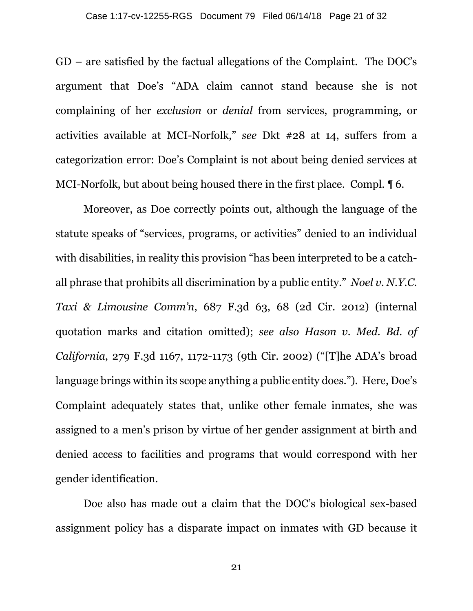GD – are satisfied by the factual allegations of the Complaint. The DOC's argument that Doe's "ADA claim cannot stand because she is not complaining of her *exclusion* or *denial* from services, programming, or activities available at MCI-Norfolk," *see* Dkt #28 at 14, suffers from a categorization error: Doe's Complaint is not about being denied services at MCI-Norfolk, but about being housed there in the first place. Compl. ¶ 6.

Moreover, as Doe correctly points out, although the language of the statute speaks of "services, programs, or activities" denied to an individual with disabilities, in reality this provision "has been interpreted to be a catchall phrase that prohibits all discrimination by a public entity." *Noel v. N.Y.C. Taxi & Limousine Comm'n*, 687 F.3d 63, 68 (2d Cir. 2012) (internal quotation marks and citation omitted); *see also Hason v. Med. Bd. of California*, 279 F.3d 1167, 1172-1173 (9th Cir. 2002) ("[T]he ADA's broad language brings within its scope anything a public entity does."). Here, Doe's Complaint adequately states that, unlike other female inmates, she was assigned to a men's prison by virtue of her gender assignment at birth and denied access to facilities and programs that would correspond with her gender identification.

Doe also has made out a claim that the DOC's biological sex-based assignment policy has a disparate impact on inmates with GD because it

21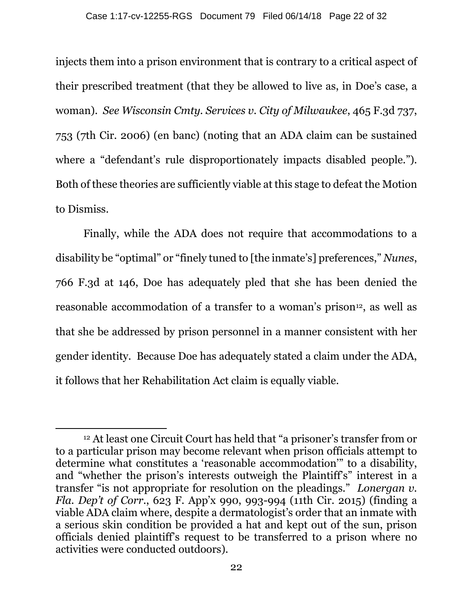injects them into a prison environment that is contrary to a critical aspect of their prescribed treatment (that they be allowed to live as, in Doe's case, a woman). *See Wisconsin Cmty. Services v. City of Milwaukee*, 465 F.3d 737, 753 (7th Cir. 2006) (en banc) (noting that an ADA claim can be sustained where a "defendant's rule disproportionately impacts disabled people."). Both of these theories are sufficiently viable at this stage to defeat the Motion to Dismiss.

Finally, while the ADA does not require that accommodations to a disability be "optimal" or "finely tuned to [the inmate's] preferences," *Nunes*, 766 F.3d at 146, Doe has adequately pled that she has been denied the reasonable accommodation of a transfer to a woman's prison<sup>12</sup>, as well as that she be addressed by prison personnel in a manner consistent with her gender identity. Because Doe has adequately stated a claim under the ADA, it follows that her Rehabilitation Act claim is equally viable.

 $\overline{a}$ <sup>12</sup> At least one Circuit Court has held that "a prisoner's transfer from or to a particular prison may become relevant when prison officials attempt to determine what constitutes a 'reasonable accommodation'" to a disability, and "whether the prison's interests outweigh the Plaintiff's" interest in a transfer "is not appropriate for resolution on the pleadings." *Lonergan v. Fla. Dep't of Corr.*, 623 F. App'x 990, 993-994 (11th Cir. 2015) (finding a viable ADA claim where, despite a dermatologist's order that an inmate with a serious skin condition be provided a hat and kept out of the sun, prison officials denied plaintiff's request to be transferred to a prison where no activities were conducted outdoors).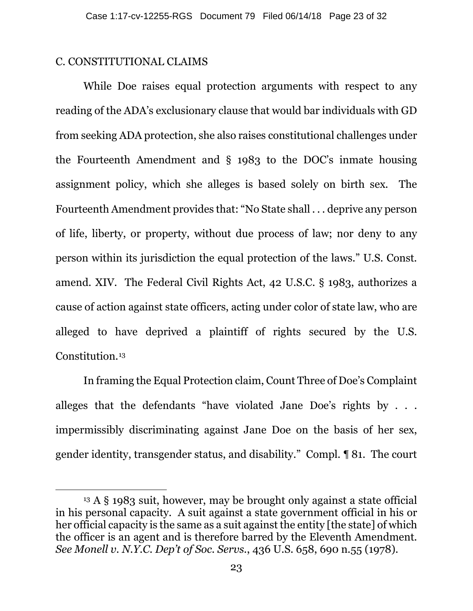#### C. CONSTITUTIONAL CLAIMS

 $\overline{\phantom{a}}$ 

While Doe raises equal protection arguments with respect to any reading of the ADA's exclusionary clause that would bar individuals with GD from seeking ADA protection, she also raises constitutional challenges under the Fourteenth Amendment and § 1983 to the DOC's inmate housing assignment policy, which she alleges is based solely on birth sex. The Fourteenth Amendment provides that: "No State shall . . . deprive any person of life, liberty, or property, without due process of law; nor deny to any person within its jurisdiction the equal protection of the laws." U.S. Const. amend. XIV. The Federal Civil Rights Act, 42 U.S.C. § 1983, authorizes a cause of action against state officers, acting under color of state law, who are alleged to have deprived a plaintiff of rights secured by the U.S. Constitution.13

In framing the Equal Protection claim, Count Three of Doe's Complaint alleges that the defendants "have violated Jane Doe's rights by . . . impermissibly discriminating against Jane Doe on the basis of her sex, gender identity, transgender status, and disability." Compl. ¶ 81. The court

<sup>13</sup> A § 1983 suit, however, may be brought only against a state official in his personal capacity. A suit against a state government official in his or her official capacity is the same as a suit against the entity [the state] of which the officer is an agent and is therefore barred by the Eleventh Amendment. *See Monell v. N.Y.C. Dep't of Soc. Servs.*, 436 U.S. 658, 690 n.55 (1978).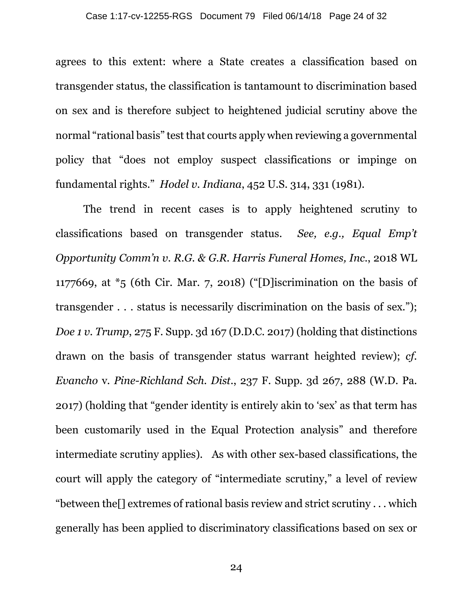agrees to this extent: where a State creates a classification based on transgender status, the classification is tantamount to discrimination based on sex and is therefore subject to heightened judicial scrutiny above the normal "rational basis" test that courts apply when reviewing a governmental policy that "does not employ suspect classifications or impinge on fundamental rights." *Hodel v. Indiana*, 452 U.S. 314, 331 (1981).

The trend in recent cases is to apply heightened scrutiny to classifications based on transgender status. *See, e.g., Equal Emp't Opportunity Comm'n v. R.G. & G.R. Harris Funeral Homes, Inc.*, 2018 WL 1177669, at \*5 (6th Cir. Mar. 7, 2018) ("[D]iscrimination on the basis of transgender . . . status is necessarily discrimination on the basis of sex."); *Doe 1 v. Trump*, 275 F. Supp. 3d 167 (D.D.C. 2017) (holding that distinctions drawn on the basis of transgender status warrant heighted review); *cf. Evancho* v. *Pine-Richland Sch. Dist.*, 237 F. Supp. 3d 267, 288 (W.D. Pa. 2017) (holding that "gender identity is entirely akin to 'sex' as that term has been customarily used in the Equal Protection analysis" and therefore intermediate scrutiny applies). As with other sex-based classifications, the court will apply the category of "intermediate scrutiny," a level of review "between the[] extremes of rational basis review and strict scrutiny . . . which generally has been applied to discriminatory classifications based on sex or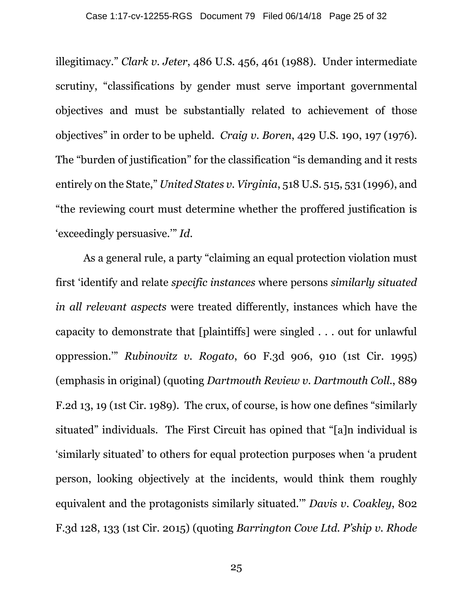illegitimacy." *Clark v. Jeter*, 486 U.S. 456, 461 (1988). Under intermediate scrutiny, "classifications by gender must serve important governmental objectives and must be substantially related to achievement of those objectives" in order to be upheld. *Craig v. Boren*, 429 U.S. 190, 197 (1976). The "burden of justification" for the classification "is demanding and it rests entirely on the State," *United States v. Virginia*, 518 U.S. 515, 531 (1996), and "the reviewing court must determine whether the proffered justification is 'exceedingly persuasive.'" *Id*.

As a general rule, a party "claiming an equal protection violation must first 'identify and relate *specific instances* where persons *similarly situated in all relevant aspects* were treated differently, instances which have the capacity to demonstrate that [plaintiffs] were singled . . . out for unlawful oppression.'" *Rubinovitz v. Rogato*, 60 F.3d 906, 910 (1st Cir. 1995) (emphasis in original) (quoting *Dartmouth Review v. Dartmouth Coll.*, 889 F.2d 13, 19 (1st Cir. 1989). The crux, of course, is how one defines "similarly situated" individuals. The First Circuit has opined that "[a]n individual is 'similarly situated' to others for equal protection purposes when 'a prudent person, looking objectively at the incidents, would think them roughly equivalent and the protagonists similarly situated.'" *Davis v. Coakley*, 802 F.3d 128, 133 (1st Cir. 2015) (quoting *Barrington Cove Ltd. P'ship v. Rhode*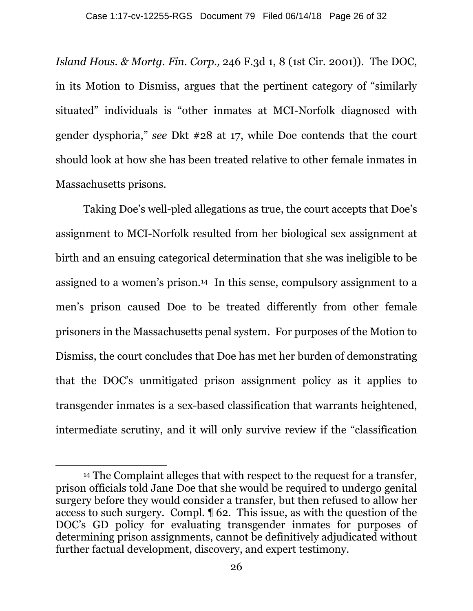*Island Hous. & Mortg. Fin. Corp.,* 246 F.3d 1, 8 (1st Cir. 2001)). The DOC, in its Motion to Dismiss, argues that the pertinent category of "similarly situated" individuals is "other inmates at MCI-Norfolk diagnosed with gender dysphoria," *see* Dkt #28 at 17, while Doe contends that the court should look at how she has been treated relative to other female inmates in Massachusetts prisons.

Taking Doe's well-pled allegations as true, the court accepts that Doe's assignment to MCI-Norfolk resulted from her biological sex assignment at birth and an ensuing categorical determination that she was ineligible to be assigned to a women's prison.14 In this sense, compulsory assignment to a men's prison caused Doe to be treated differently from other female prisoners in the Massachusetts penal system. For purposes of the Motion to Dismiss, the court concludes that Doe has met her burden of demonstrating that the DOC's unmitigated prison assignment policy as it applies to transgender inmates is a sex-based classification that warrants heightened, intermediate scrutiny, and it will only survive review if the "classification

 $\overline{a}$ 

<sup>14</sup> The Complaint alleges that with respect to the request for a transfer, prison officials told Jane Doe that she would be required to undergo genital surgery before they would consider a transfer, but then refused to allow her access to such surgery. Compl. ¶ 62. This issue, as with the question of the DOC's GD policy for evaluating transgender inmates for purposes of determining prison assignments, cannot be definitively adjudicated without further factual development, discovery, and expert testimony.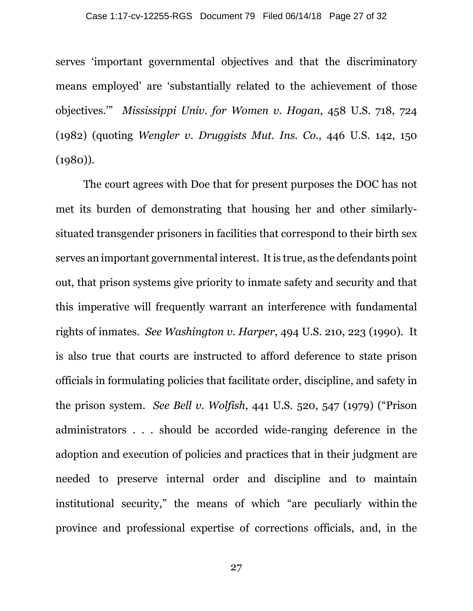serves 'important governmental objectives and that the discriminatory means employed' are 'substantially related to the achievement of those objectives.'" *Mississippi Univ. for Women v. Hogan*, 458 U.S. 718, 724 (1982) (quoting *Wengler v. Druggists Mut. Ins. Co.*, 446 U.S. 142, 150 (1980)).

The court agrees with Doe that for present purposes the DOC has not met its burden of demonstrating that housing her and other similarlysituated transgender prisoners in facilities that correspond to their birth sex serves an important governmental interest. It is true, as the defendants point out, that prison systems give priority to inmate safety and security and that this imperative will frequently warrant an interference with fundamental rights of inmates. *See Washington v. Harper*, 494 U.S. 210, 223 (1990). It is also true that courts are instructed to afford deference to state prison officials in formulating policies that facilitate order, discipline, and safety in the prison system. *See Bell v. Wolfish*, 441 U.S. 520, 547 (1979) ("Prison administrators . . . should be accorded wide-ranging deference in the adoption and execution of policies and practices that in their judgment are needed to preserve internal order and discipline and to maintain institutional security," the means of which "are peculiarly within the province and professional expertise of corrections officials, and, in the

27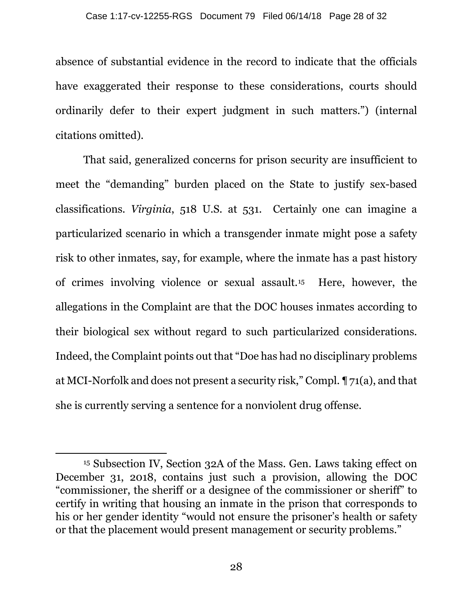absence of substantial evidence in the record to indicate that the officials have exaggerated their response to these considerations, courts should ordinarily defer to their expert judgment in such matters.") (internal citations omitted).

That said, generalized concerns for prison security are insufficient to meet the "demanding" burden placed on the State to justify sex-based classifications. *Virginia*, 518 U.S. at 531. Certainly one can imagine a particularized scenario in which a transgender inmate might pose a safety risk to other inmates, say, for example, where the inmate has a past history of crimes involving violence or sexual assault.15 Here, however, the allegations in the Complaint are that the DOC houses inmates according to their biological sex without regard to such particularized considerations. Indeed, the Complaint points out that "Doe has had no disciplinary problems at MCI-Norfolk and does not present a security risk," Compl. ¶ 71(a), and that she is currently serving a sentence for a nonviolent drug offense.

 $\overline{\phantom{a}}$ 

<sup>15</sup> Subsection IV, Section 32A of the Mass. Gen. Laws taking effect on December 31, 2018, contains just such a provision, allowing the DOC "commissioner, the sheriff or a designee of the commissioner or sheriff" to certify in writing that housing an inmate in the prison that corresponds to his or her gender identity "would not ensure the prisoner's health or safety or that the placement would present management or security problems."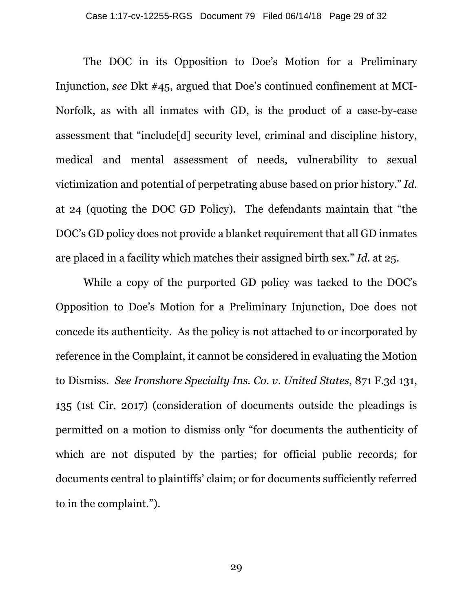The DOC in its Opposition to Doe's Motion for a Preliminary Injunction, *see* Dkt #45, argued that Doe's continued confinement at MCI-Norfolk, as with all inmates with GD, is the product of a case-by-case assessment that "include[d] security level, criminal and discipline history, medical and mental assessment of needs, vulnerability to sexual victimization and potential of perpetrating abuse based on prior history." *Id.* at 24 (quoting the DOC GD Policy). The defendants maintain that "the DOC's GD policy does not provide a blanket requirement that all GD inmates are placed in a facility which matches their assigned birth sex." *Id.* at 25.

While a copy of the purported GD policy was tacked to the DOC's Opposition to Doe's Motion for a Preliminary Injunction, Doe does not concede its authenticity. As the policy is not attached to or incorporated by reference in the Complaint, it cannot be considered in evaluating the Motion to Dismiss. *See Ironshore Specialty Ins. Co. v. United States*, 871 F.3d 131, 135 (1st Cir. 2017) (consideration of documents outside the pleadings is permitted on a motion to dismiss only "for documents the authenticity of which are not disputed by the parties; for official public records; for documents central to plaintiffs' claim; or for documents sufficiently referred to in the complaint.").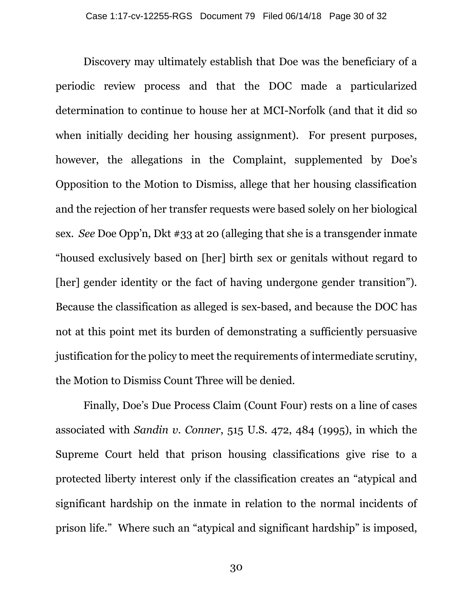Discovery may ultimately establish that Doe was the beneficiary of a periodic review process and that the DOC made a particularized determination to continue to house her at MCI-Norfolk (and that it did so when initially deciding her housing assignment). For present purposes, however, the allegations in the Complaint, supplemented by Doe's Opposition to the Motion to Dismiss, allege that her housing classification and the rejection of her transfer requests were based solely on her biological sex. *See* Doe Opp'n, Dkt #33 at 20 (alleging that she is a transgender inmate "housed exclusively based on [her] birth sex or genitals without regard to [her] gender identity or the fact of having undergone gender transition"). Because the classification as alleged is sex-based, and because the DOC has not at this point met its burden of demonstrating a sufficiently persuasive justification for the policy to meet the requirements of intermediate scrutiny, the Motion to Dismiss Count Three will be denied.

Finally, Doe's Due Process Claim (Count Four) rests on a line of cases associated with *Sandin v. Conner*, 515 U.S. 472, 484 (1995), in which the Supreme Court held that prison housing classifications give rise to a protected liberty interest only if the classification creates an "atypical and significant hardship on the inmate in relation to the normal incidents of prison life." Where such an "atypical and significant hardship" is imposed,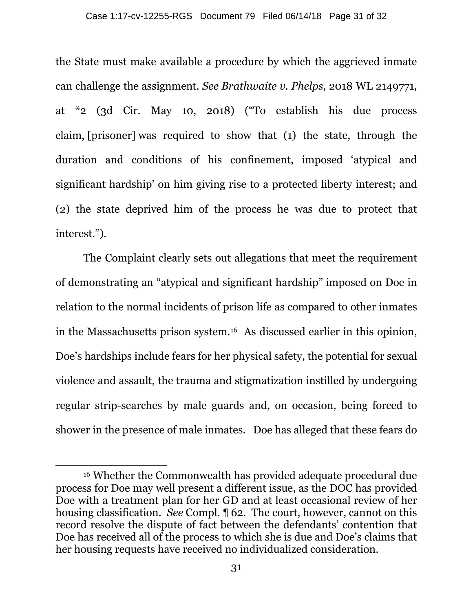the State must make available a procedure by which the aggrieved inmate can challenge the assignment. *See Brathwaite v. Phelps*, 2018 WL 2149771, at \*2 (3d Cir. May 10, 2018) ("To establish his due process claim, [prisoner] was required to show that (1) the state, through the duration and conditions of his confinement, imposed 'atypical and significant hardship' on him giving rise to a protected liberty interest; and (2) the state deprived him of the process he was due to protect that interest.").

The Complaint clearly sets out allegations that meet the requirement of demonstrating an "atypical and significant hardship" imposed on Doe in relation to the normal incidents of prison life as compared to other inmates in the Massachusetts prison system.16 As discussed earlier in this opinion, Doe's hardships include fears for her physical safety, the potential for sexual violence and assault, the trauma and stigmatization instilled by undergoing regular strip-searches by male guards and, on occasion, being forced to shower in the presence of male inmates. Doe has alleged that these fears do

 $\overline{a}$ 

<sup>16</sup> Whether the Commonwealth has provided adequate procedural due process for Doe may well present a different issue, as the DOC has provided Doe with a treatment plan for her GD and at least occasional review of her housing classification. *See* Compl. ¶ 62. The court, however, cannot on this record resolve the dispute of fact between the defendants' contention that Doe has received all of the process to which she is due and Doe's claims that her housing requests have received no individualized consideration.